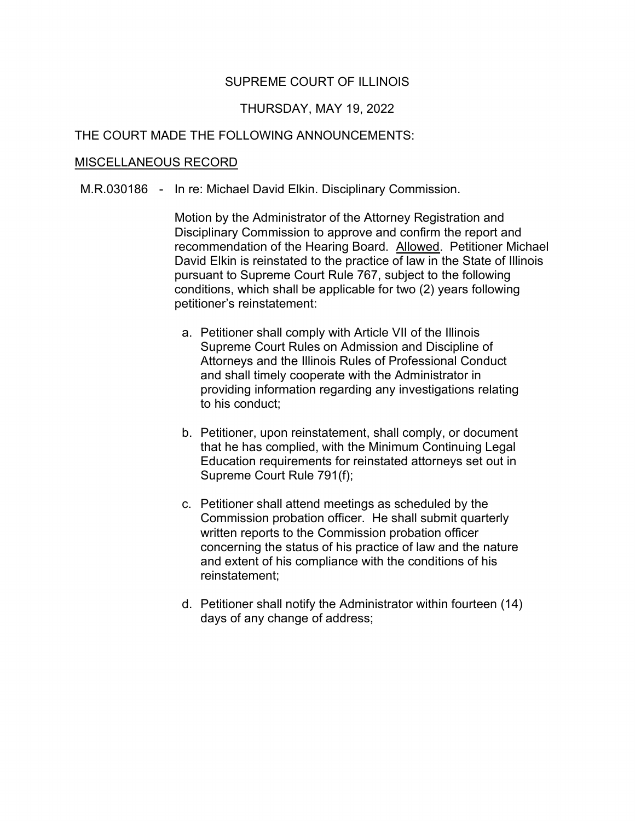# SUPREME COURT OF ILLINOIS

## THURSDAY, MAY 19, 2022

# THE COURT MADE THE FOLLOWING ANNOUNCEMENTS:

#### MISCELLANEOUS RECORD

M.R.030186 - In re: Michael David Elkin. Disciplinary Commission.

 Disciplinary Commission to approve and confirm the report and pursuant to Supreme Court Rule 767, subject to the following Motion by the Administrator of the Attorney Registration and recommendation of the Hearing Board. Allowed. Petitioner Michael David Elkin is reinstated to the practice of law in the State of Illinois conditions, which shall be applicable for two (2) years following petitioner's reinstatement:

- a. Petitioner shall comply with Article VII of the Illinois Supreme Court Rules on Admission and Discipline of Attorneys and the Illinois Rules of Professional Conduct and shall timely cooperate with the Administrator in providing information regarding any investigations relating to his conduct;
- b. Petitioner, upon reinstatement, shall comply, or document that he has complied, with the Minimum Continuing Legal Education requirements for reinstated attorneys set out in Supreme Court Rule 791(f);
- c. Petitioner shall attend meetings as scheduled by the written reports to the Commission probation officer Commission probation officer. He shall submit quarterly concerning the status of his practice of law and the nature and extent of his compliance with the conditions of his reinstatement;
- d. Petitioner shall notify the Administrator within fourteen (14) days of any change of address;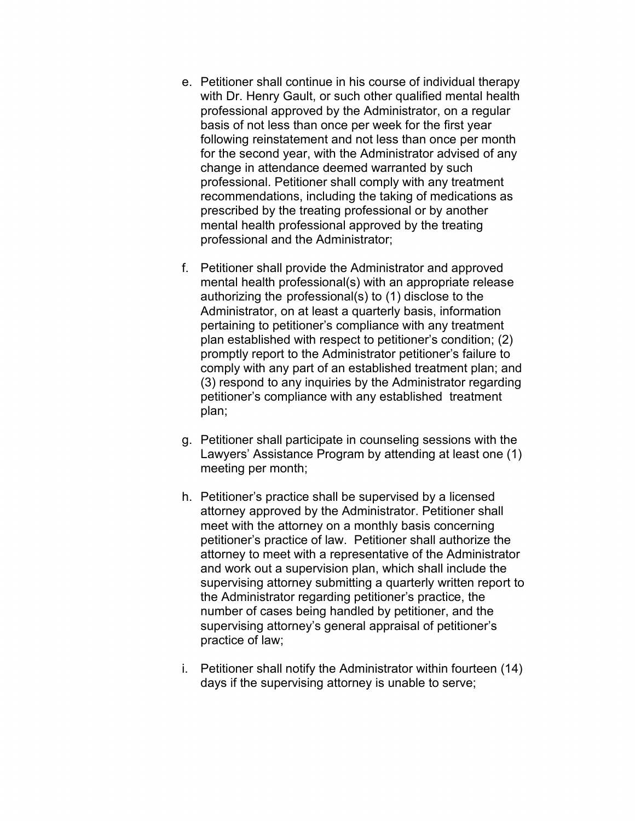- change in attendance deemed warranted by such e. Petitioner shall continue in his course of individual therapy with Dr. Henry Gault, or such other qualified mental health professional approved by the Administrator, on a regular basis of not less than once per week for the first year following reinstatement and not less than once per month for the second year, with the Administrator advised of any professional. Petitioner shall comply with any treatment recommendations, including the taking of medications as prescribed by the treating professional or by another mental health professional approved by the treating professional and the Administrator;
- f. Petitioner shall provide the Administrator and approved Administrator, on at least a quarterly basis, information petitioner's compliance with any established treatment mental health professional(s) with an appropriate release authorizing the professional(s) to (1) disclose to the pertaining to petitioner's compliance with any treatment plan established with respect to petitioner's condition; (2) promptly report to the Administrator petitioner's failure to comply with any part of an established treatment plan; and (3) respond to any inquiries by the Administrator regarding plan;
- g. Petitioner shall participate in counseling sessions with the Lawyers' Assistance Program by attending at least one (1) meeting per month;
- number of cases being handled by petitioner, and the h. Petitioner's practice shall be supervised by a licensed attorney approved by the Administrator. Petitioner shall meet with the attorney on a monthly basis concerning petitioner's practice of law. Petitioner shall authorize the attorney to meet with a representative of the Administrator and work out a supervision plan, which shall include the supervising attorney submitting a quarterly written report to the Administrator regarding petitioner's practice, the supervising attorney's general appraisal of petitioner's practice of law;
- i. Petitioner shall notify the Administrator within fourteen (14) days if the supervising attorney is unable to serve;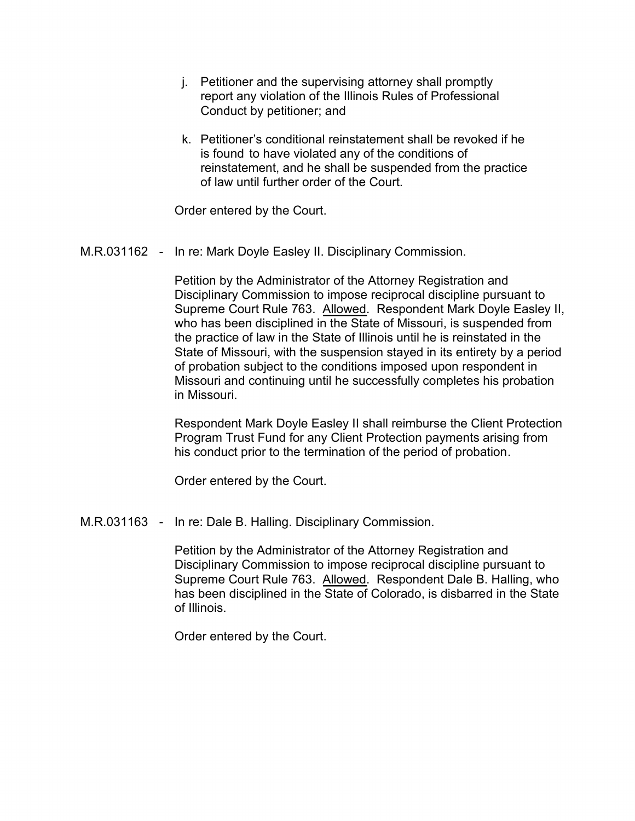- j. Petitioner and the supervising attorney shall promptly report any violation of the Illinois Rules of Professional Conduct by petitioner; and
- k. Petitioner's conditional reinstatement shall be revoked if he is found to have violated any of the conditions of reinstatement, and he shall be suspended from the practice of law until further order of the Court.

Order entered by the Court.

### M.R.031162 - In re: Mark Doyle Easley II. Disciplinary Commission.

 who has been disciplined in the State of Missouri, is suspended from the practice of law in the State of Illinois until he is reinstated in the of probation subject to the conditions imposed upon respondent in Petition by the Administrator of the Attorney Registration and Disciplinary Commission to impose reciprocal discipline pursuant to Supreme Court Rule 763. Allowed. Respondent Mark Doyle Easley II, State of Missouri, with the suspension stayed in its entirety by a period Missouri and continuing until he successfully completes his probation in Missouri.

Respondent Mark Doyle Easley II shall reimburse the Client Protection Program Trust Fund for any Client Protection payments arising from his conduct prior to the termination of the period of probation.

Order entered by the Court.

M.R.031163 - In re: Dale B. Halling. Disciplinary Commission.

Petition by the Administrator of the Attorney Registration and Disciplinary Commission to impose reciprocal discipline pursuant to Supreme Court Rule 763. Allowed. Respondent Dale B. Halling, who has been disciplined in the State of Colorado, is disbarred in the State of Illinois.

Order entered by the Court.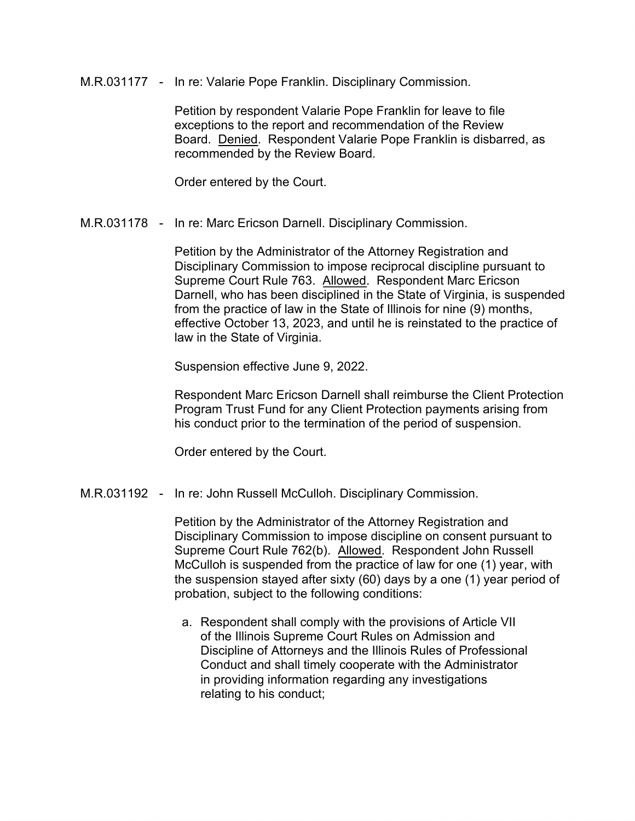M.R.031177 - In re: Valarie Pope Franklin. Disciplinary Commission.

 Petition by respondent Valarie Pope Franklin for leave to file exceptions to the report and recommendation of the Review Board. Denied. Respondent Valarie Pope Franklin is disbarred, as recommended by the Review Board.

Order entered by the Court.

M.R.031178 - In re: Marc Ericson Darnell. Disciplinary Commission.

 Darnell, who has been disciplined in the State of Virginia, is suspended Petition by the Administrator of the Attorney Registration and Disciplinary Commission to impose reciprocal discipline pursuant to Supreme Court Rule 763. Allowed. Respondent Marc Ericson from the practice of law in the State of Illinois for nine (9) months, effective October 13, 2023, and until he is reinstated to the practice of law in the State of Virginia.

Suspension effective June 9, 2022.

Respondent Marc Ericson Darnell shall reimburse the Client Protection Program Trust Fund for any Client Protection payments arising from his conduct prior to the termination of the period of suspension.

Order entered by the Court.

M.R.031192 - In re: John Russell McCulloh. Disciplinary Commission.

Petition by the Administrator of the Attorney Registration and Disciplinary Commission to impose discipline on consent pursuant to Supreme Court Rule 762(b). Allowed. Respondent John Russell McCulloh is suspended from the practice of law for one (1) year, with the suspension stayed after sixty (60) days by a one (1) year period of probation, subject to the following conditions:

a. Respondent shall comply with the provisions of Article VII of the Illinois Supreme Court Rules on Admission and Discipline of Attorneys and the Illinois Rules of Professional Conduct and shall timely cooperate with the Administrator in providing information regarding any investigations relating to his conduct;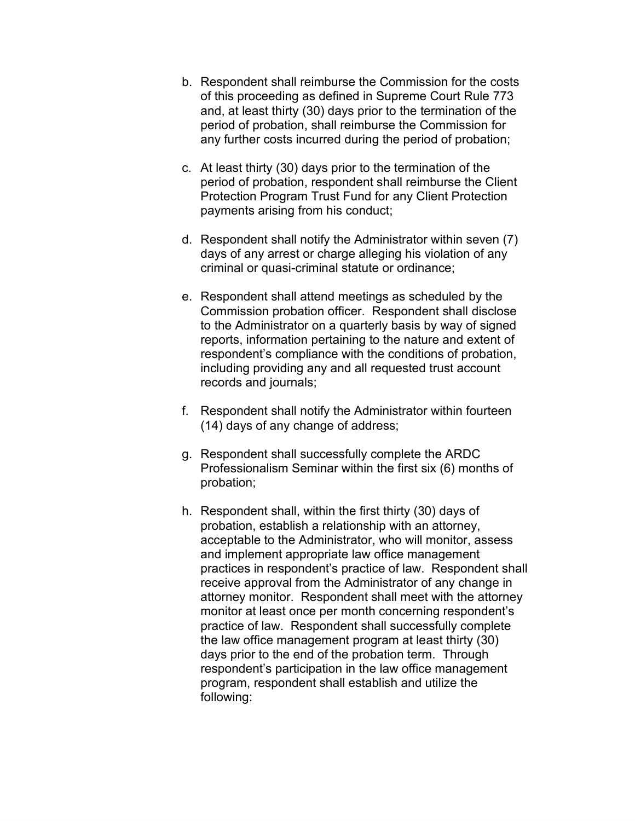- and, at least thirty (30) days prior to the termination of the b. Respondent shall reimburse the Commission for the costs of this proceeding as defined in Supreme Court Rule 773 period of probation, shall reimburse the Commission for any further costs incurred during the period of probation;
- c. At least thirty (30) days prior to the termination of the period of probation, respondent shall reimburse the Client Protection Program Trust Fund for any Client Protection payments arising from his conduct;
- d. Respondent shall notify the Administrator within seven (7) days of any arrest or charge alleging his violation of any criminal or quasi-criminal statute or ordinance;
- e. Respondent shall attend meetings as scheduled by the Commission probation officer. Respondent shall disclose to the Administrator on a quarterly basis by way of signed reports, information pertaining to the nature and extent of respondent's compliance with the conditions of probation, including providing any and all requested trust account records and journals;
- f. Respondent shall notify the Administrator within fourteen (14) days of any change of address;
- g. Respondent shall successfully complete the ARDC Professionalism Seminar within the first six (6) months of probation;
- probation, establish a relationship with an attorney, acceptable to the Administrator, who will monitor, assess days prior to the end of the probation term. Through program, respondent shall establish and utilize the h. Respondent shall, within the first thirty (30) days of and implement appropriate law office management practices in respondent's practice of law. Respondent shall receive approval from the Administrator of any change in attorney monitor. Respondent shall meet with the attorney monitor at least once per month concerning respondent's practice of law. Respondent shall successfully complete the law office management program at least thirty (30) respondent's participation in the law office management following: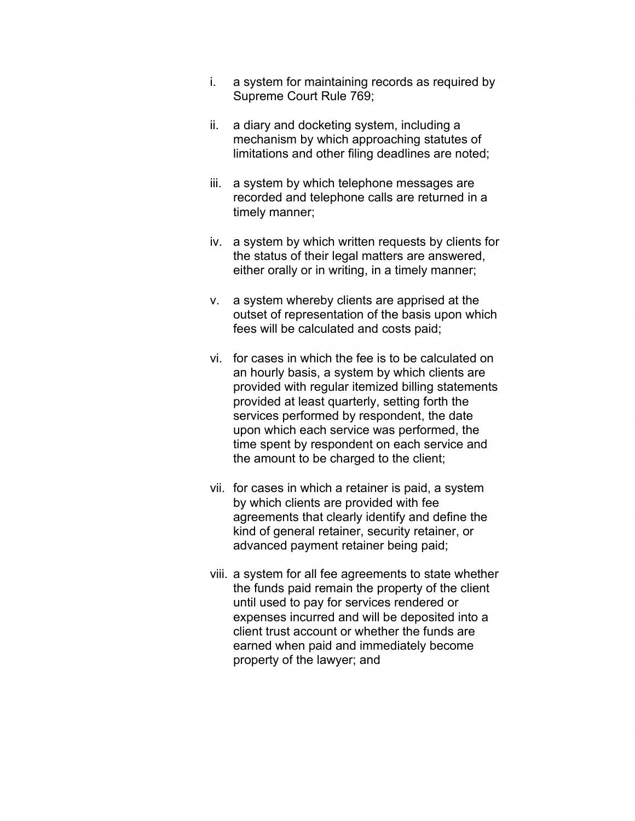- i. a system for maintaining records as required by Supreme Court Rule 769;
- ii. a diary and docketing system, including a mechanism by which approaching statutes of limitations and other filing deadlines are noted;
- recorded and telephone calls are returned in a iii. a system by which telephone messages are timely manner;
- iv. a system by which written requests by clients for the status of their legal matters are answered, either orally or in writing, in a timely manner;
- v. a system whereby clients are apprised at the outset of representation of the basis upon which fees will be calculated and costs paid;
- services performed by respondent, the date vi. for cases in which the fee is to be calculated on an hourly basis, a system by which clients are provided with regular itemized billing statements provided at least quarterly, setting forth the upon which each service was performed, the time spent by respondent on each service and the amount to be charged to the client;
- vii. for cases in which a retainer is paid, a system by which clients are provided with fee agreements that clearly identify and define the kind of general retainer, security retainer, or advanced payment retainer being paid;
- expenses incurred and will be deposited into a viii. a system for all fee agreements to state whether the funds paid remain the property of the client until used to pay for services rendered or client trust account or whether the funds are earned when paid and immediately become property of the lawyer; and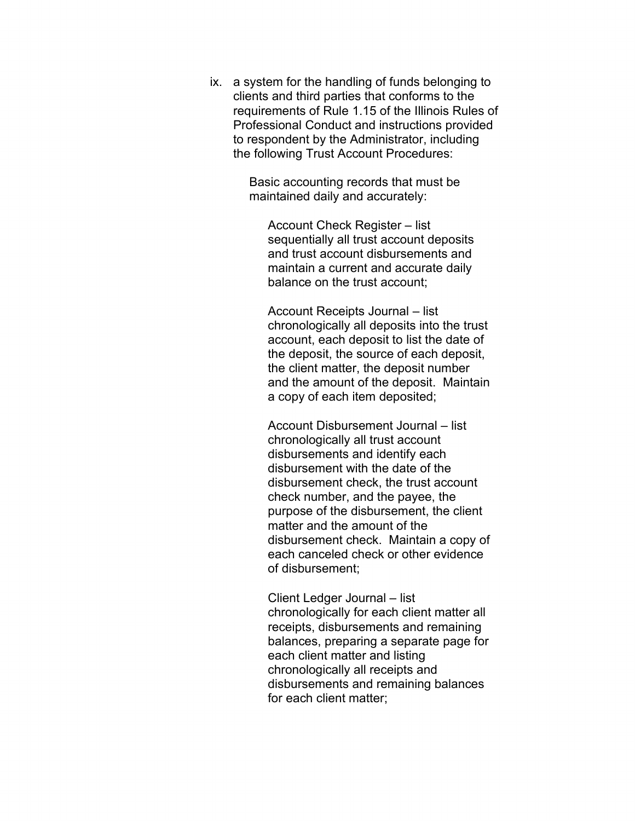clients and third parties that conforms to the ix. a system for the handling of funds belonging to requirements of Rule 1.15 of the Illinois Rules of Professional Conduct and instructions provided to respondent by the Administrator, including the following Trust Account Procedures:

> Basic accounting records that must be maintained daily and accurately:

Account Check Register – list sequentially all trust account deposits and trust account disbursements and maintain a current and accurate daily balance on the trust account;

Account Receipts Journal – list chronologically all deposits into the trust account, each deposit to list the date of the deposit, the source of each deposit, the client matter, the deposit number and the amount of the deposit. Maintain a copy of each item deposited;

 disbursement with the date of the Account Disbursement Journal – list chronologically all trust account disbursements and identify each disbursement check, the trust account check number, and the payee, the purpose of the disbursement, the client matter and the amount of the disbursement check. Maintain a copy of each canceled check or other evidence of disbursement;

 each client matter and listing Client Ledger Journal – list chronologically for each client matter all receipts, disbursements and remaining balances, preparing a separate page for chronologically all receipts and disbursements and remaining balances for each client matter;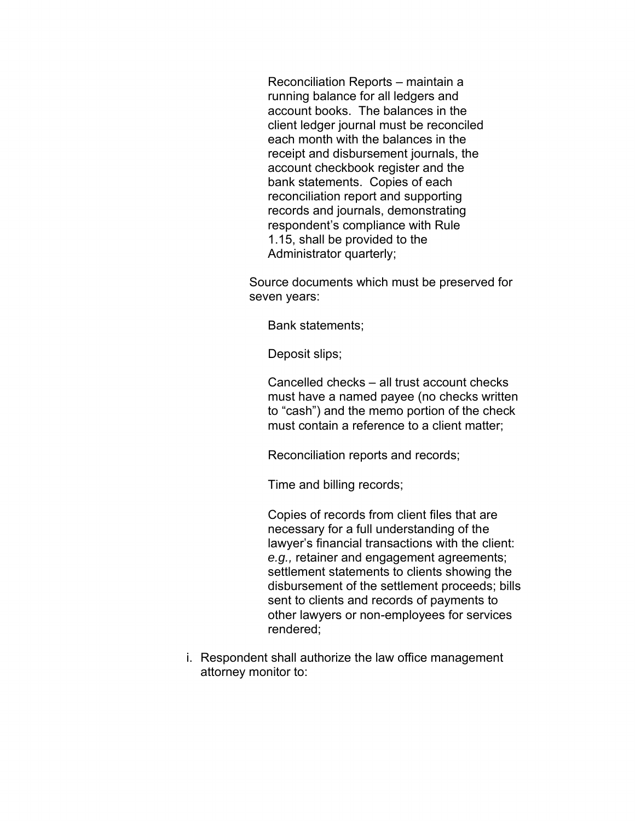running balance for all ledgers and account books. The balances in the bank statements. Copies of each Reconciliation Reports – maintain a client ledger journal must be reconciled each month with the balances in the receipt and disbursement journals, the account checkbook register and the reconciliation report and supporting records and journals, demonstrating respondent's compliance with Rule 1.15, shall be provided to the Administrator quarterly;

Source documents which must be preserved for seven years:

Bank statements;

Deposit slips;

 to "cash") and the memo portion of the check Cancelled checks – all trust account checks must have a named payee (no checks written must contain a reference to a client matter;

Reconciliation reports and records;

Time and billing records;

Copies of records from client files that are necessary for a full understanding of the lawyer's financial transactions with the client: *e.g.,* retainer and engagement agreements; settlement statements to clients showing the disbursement of the settlement proceeds; bills sent to clients and records of payments to other lawyers or non-employees for services rendered;

i. Respondent shall authorize the law office management attorney monitor to: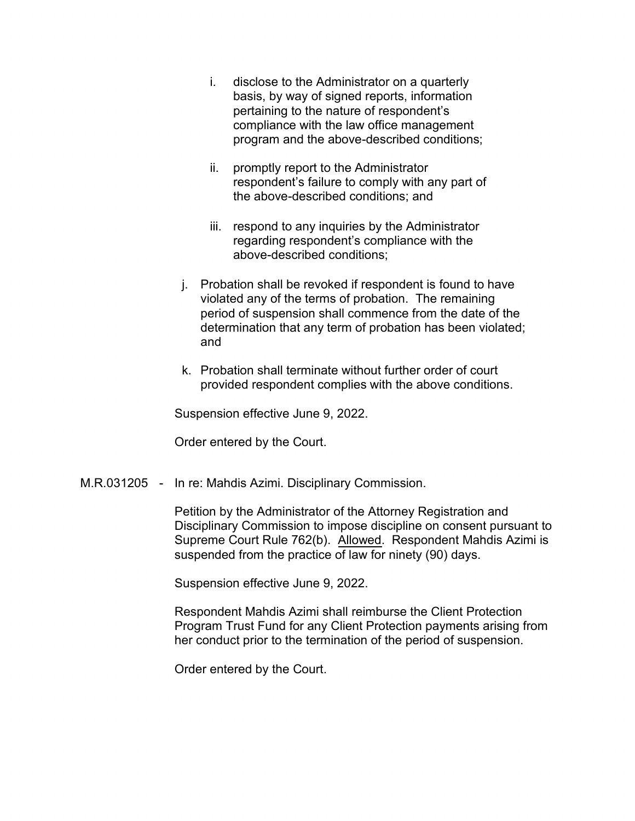- i. disclose to the Administrator on a quarterly basis, by way of signed reports, information pertaining to the nature of respondent's compliance with the law office management program and the above-described conditions;
- ii. promptly report to the Administrator respondent's failure to comply with any part of the above-described conditions; and
- iii. respond to any inquiries by the Administrator regarding respondent's compliance with the above-described conditions;
- j. Probation shall be revoked if respondent is found to have period of suspension shall commence from the date of the determination that any term of probation has been violated; violated any of the terms of probation. The remaining and
- k. Probation shall terminate without further order of court provided respondent complies with the above conditions.

Suspension effective June 9, 2022.

Order entered by the Court.

M.R.031205 - In re: Mahdis Azimi. Disciplinary Commission.

Petition by the Administrator of the Attorney Registration and Disciplinary Commission to impose discipline on consent pursuant to Supreme Court Rule 762(b). Allowed. Respondent Mahdis Azimi is suspended from the practice of law for ninety (90) days.

Suspension effective June 9, 2022.

Respondent Mahdis Azimi shall reimburse the Client Protection Program Trust Fund for any Client Protection payments arising from her conduct prior to the termination of the period of suspension.

Order entered by the Court.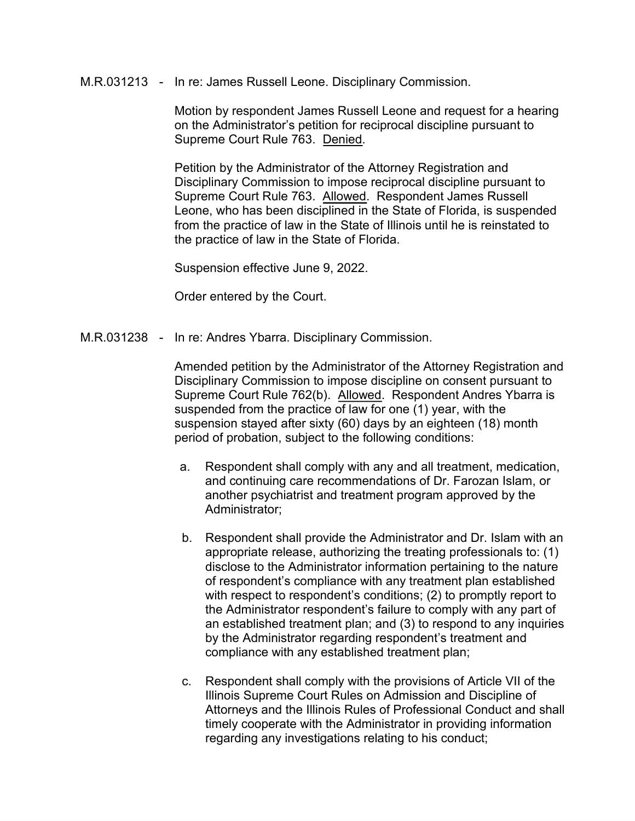#### M.R.031213 - In re: James Russell Leone. Disciplinary Commission.

Motion by respondent James Russell Leone and request for a hearing on the Administrator's petition for reciprocal discipline pursuant to Supreme Court Rule 763. Denied.

Petition by the Administrator of the Attorney Registration and Disciplinary Commission to impose reciprocal discipline pursuant to Supreme Court Rule 763. Allowed. Respondent James Russell Leone, who has been disciplined in the State of Florida, is suspended from the practice of law in the State of Illinois until he is reinstated to the practice of law in the State of Florida.

Suspension effective June 9, 2022.

Order entered by the Court.

M.R.031238 - In re: Andres Ybarra. Disciplinary Commission.

 Amended petition by the Administrator of the Attorney Registration and Disciplinary Commission to impose discipline on consent pursuant to Supreme Court Rule 762(b). Allowed. Respondent Andres Ybarra is suspended from the practice of law for one (1) year, with the suspension stayed after sixty (60) days by an eighteen (18) month period of probation, subject to the following conditions:

- a. Respondent shall comply with any and all treatment, medication, and continuing care recommendations of Dr. Farozan Islam, or another psychiatrist and treatment program approved by the Administrator;
- an established treatment plan; and (3) to respond to any inquiries b. Respondent shall provide the Administrator and Dr. Islam with an appropriate release, authorizing the treating professionals to: (1) disclose to the Administrator information pertaining to the nature of respondent's compliance with any treatment plan established with respect to respondent's conditions; (2) to promptly report to the Administrator respondent's failure to comply with any part of by the Administrator regarding respondent's treatment and compliance with any established treatment plan;
- Illinois Supreme Court Rules on Admission and Discipline of c. Respondent shall comply with the provisions of Article VII of the Attorneys and the Illinois Rules of Professional Conduct and shall timely cooperate with the Administrator in providing information regarding any investigations relating to his conduct;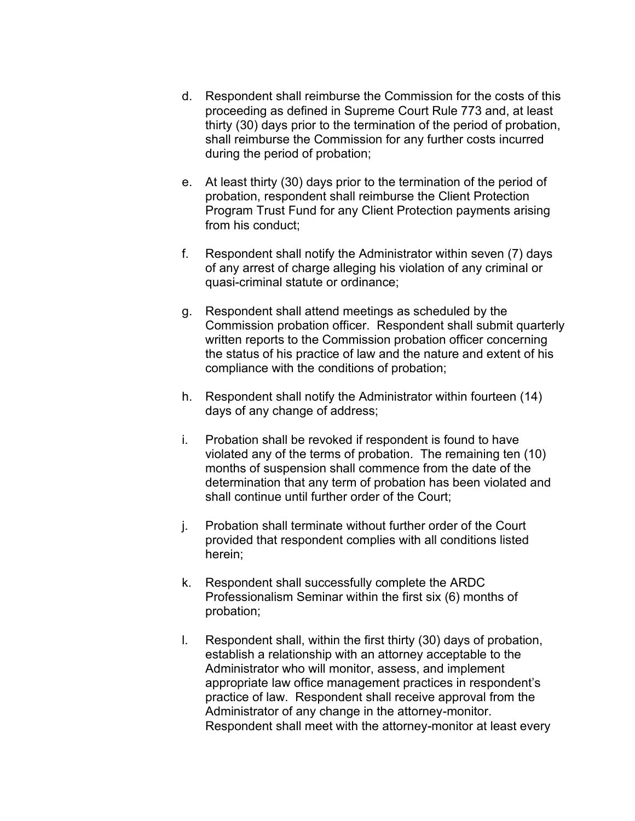- proceeding as defined in Supreme Court Rule 773 and, at least thirty (30) days prior to the termination of the period of probation, d. Respondent shall reimburse the Commission for the costs of this shall reimburse the Commission for any further costs incurred during the period of probation;
- e. At least thirty (30) days prior to the termination of the period of probation, respondent shall reimburse the Client Protection Program Trust Fund for any Client Protection payments arising from his conduct;
- f. Respondent shall notify the Administrator within seven (7) days of any arrest of charge alleging his violation of any criminal or quasi-criminal statute or ordinance;
- written reports to the Commission probation officer concerning g. Respondent shall attend meetings as scheduled by the Commission probation officer. Respondent shall submit quarterly the status of his practice of law and the nature and extent of his compliance with the conditions of probation;
- h. Respondent shall notify the Administrator within fourteen (14) days of any change of address;
- i. Probation shall be revoked if respondent is found to have determination that any term of probation has been violated and violated any of the terms of probation. The remaining ten (10) months of suspension shall commence from the date of the shall continue until further order of the Court;
- j. Probation shall terminate without further order of the Court provided that respondent complies with all conditions listed herein;
- k. Respondent shall successfully complete the ARDC Professionalism Seminar within the first six (6) months of probation;
- l. Respondent shall, within the first thirty (30) days of probation, establish a relationship with an attorney acceptable to the Administrator who will monitor, assess, and implement appropriate law office management practices in respondent's practice of law. Respondent shall receive approval from the Administrator of any change in the attorney-monitor. Respondent shall meet with the attorney-monitor at least every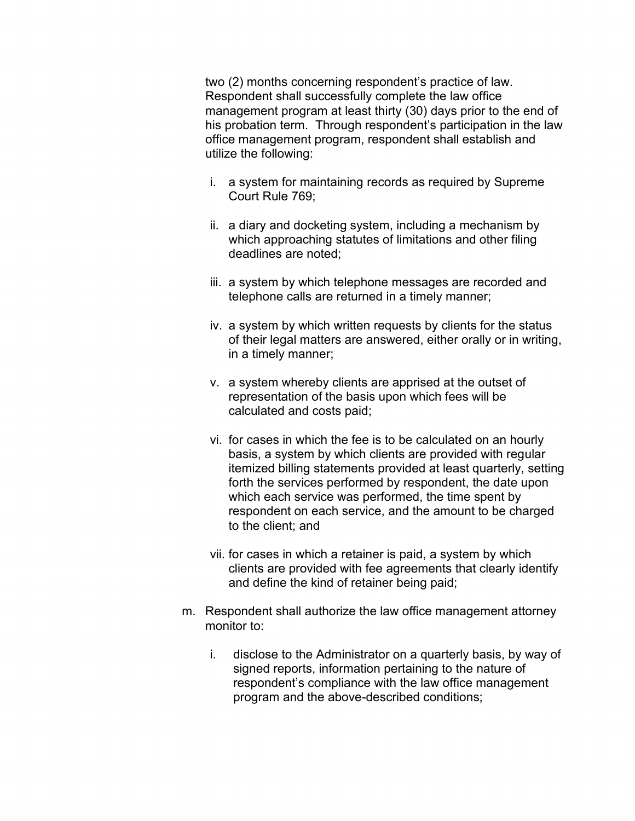management program at least thirty (30) days prior to the end of two (2) months concerning respondent's practice of law. Respondent shall successfully complete the law office his probation term. Through respondent's participation in the law office management program, respondent shall establish and utilize the following:

- i. a system for maintaining records as required by Supreme Court Rule 769;
- ii. a diary and docketing system, including a mechanism by which approaching statutes of limitations and other filing deadlines are noted;
- iii. a system by which telephone messages are recorded and telephone calls are returned in a timely manner;
- iv. a system by which written requests by clients for the status of their legal matters are answered, either orally or in writing, in a timely manner;
- v. a system whereby clients are apprised at the outset of representation of the basis upon which fees will be calculated and costs paid;
- vi. for cases in which the fee is to be calculated on an hourly basis, a system by which clients are provided with regular itemized billing statements provided at least quarterly, setting forth the services performed by respondent, the date upon which each service was performed, the time spent by respondent on each service, and the amount to be charged to the client; and
- vii. for cases in which a retainer is paid, a system by which clients are provided with fee agreements that clearly identify and define the kind of retainer being paid;
- m. Respondent shall authorize the law office management attorney monitor to:
	- i. disclose to the Administrator on a quarterly basis, by way of signed reports, information pertaining to the nature of respondent's compliance with the law office management program and the above-described conditions;